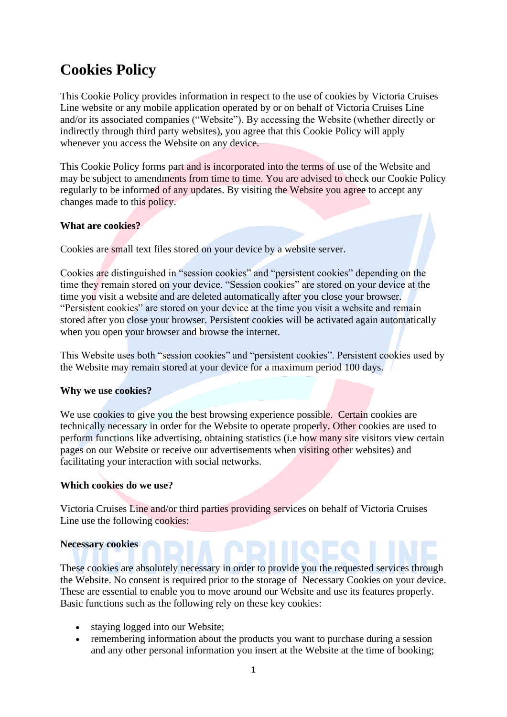# **Cookies Policy**

This Cookie Policy provides information in respect to the use of cookies by Victoria Cruises Line website or any mobile application operated by or on behalf of Victoria Cruises Line and/or its associated companies ("Website"). By accessing the Website (whether directly or indirectly through third party websites), you agree that this Cookie Policy will apply whenever you access the Website on any device.

This Cookie Policy forms part and is incorporated into the terms of use of the Website and may be subject to amendments from time to time. You are advised to check our Cookie Policy regularly to be informed of any updates. By visiting the Website you agree to accept any changes made to this policy.

# **What are cookies?**

Cookies are small text files stored on your device by a website server.

Cookies are distinguished in "session cookies" and "persistent cookies" depending on the time they remain stored on your device. "Session cookies" are stored on your device at the time you visit a website and are deleted automatically after you close your browser. "Persistent cookies" are stored on your device at the time you visit a website and remain stored after you close your browser. Persistent cookies will be activated again automatically when you open your browser and browse the internet.

This Website uses both "session cookies" and "persistent cookies". Persistent cookies used by the Website may remain stored at your device for a maximum period 100 days.

#### **Why we use cookies?**

We use cookies to give you the best browsing experience possible. Certain cookies are technically necessary in order for the Website to operate properly. Other cookies are used to perform functions like advertising, obtaining statistics (i.e how many site visitors view certain pages on our Website or receive our advertisements when visiting other websites) and facilitating your interaction with social networks.

#### **Which cookies do we use?**

Victoria Cruises Line and/or third parties providing services on behalf of Victoria Cruises Line use the following cookies:

#### **Necessary cookies**

These cookies are absolutely necessary in order to provide you the requested services through the Website. No consent is required prior to the storage of Necessary Cookies on your device. These are essential to enable you to move around our Website and use its features properly. Basic functions such as the following rely on these key cookies:

- staying logged into our Website;
- remembering information about the products you want to purchase during a session and any other personal information you insert at the Website at the time of booking;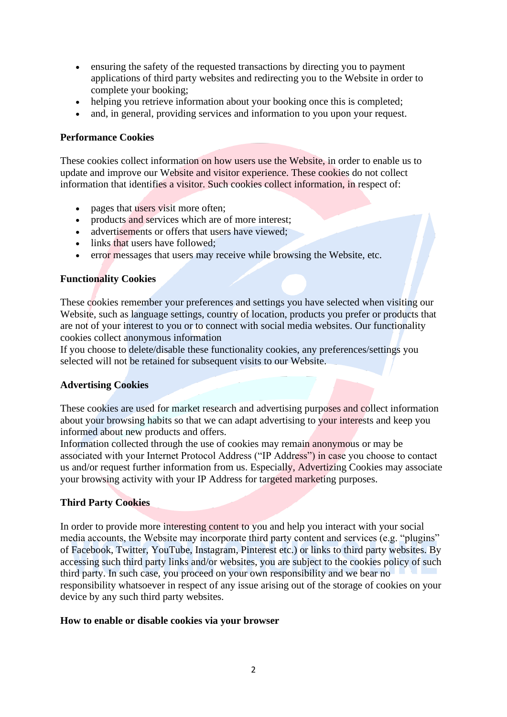- ensuring the safety of the requested transactions by directing you to payment applications of third party websites and redirecting you to the Website in order to complete your booking;
- helping you retrieve information about your booking once this is completed;
- and, in general, providing services and information to you upon your request.

### **Performance Cookies**

These cookies collect information on how users use the Website, in order to enable us to update and improve our Website and visitor experience. These cookies do not collect information that identifies a visitor. Such cookies collect information, in respect of:

- pages that users visit more often;
- products and services which are of more interest:
- advertisements or offers that users have viewed:
- links that users have followed;
- error messages that users may receive while browsing the Website, etc.

## **Functionality Cookies**

These cookies remember your preferences and settings you have selected when visiting our Website, such as language settings, country of location, products you prefer or products that are not of your interest to you or to connect with social media websites. Our functionality cookies collect anonymous information

If you choose to delete/disable these functionality cookies, any preferences/settings you selected will not be retained for subsequent visits to our Website.

# **Advertising Cookies**

These cookies are used for market research and advertising purposes and collect information about your browsing habits so that we can adapt advertising to your interests and keep you informed about new products and offers.

Information collected through the use of cookies may remain anonymous or may be associated with your Internet Protocol Address ("IP Address") in case you choose to contact us and/or request further information from us. Especially, Advertizing Cookies may associate your browsing activity with your IP Address for targeted marketing purposes.

# **Third Party Cookies**

In order to provide more interesting content to you and help you interact with your social media accounts, the Website may incorporate third party content and services (e.g. "plugins" of Facebook, Twitter, YouTube, Instagram, Pinterest etc.) or links to third party websites. By accessing such third party links and/or websites, you are subject to the cookies policy of such third party. In such case, you proceed on your own responsibility and we bear no responsibility whatsoever in respect of any issue arising out of the storage of cookies on your device by any such third party websites.

#### **How to enable or disable cookies via your browser**